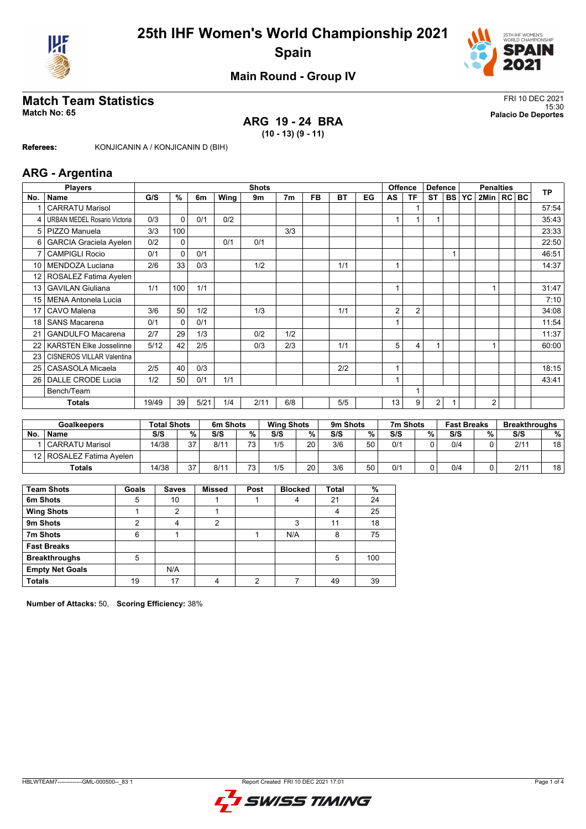



15:30 **Match No: 65 Palacio De Deportes**

### **Main Round - Group IV**

# **Match Team Statistics**<br>Match No: 65<br>Palacio De Deportes

# **ARG 19 - 24 BRA**

**(10 - 13) (9 - 11)**

**Referees:** KONJICANIN A / KONJICANIN D (BIH)

#### **ARG - Argentina**

|                 | <b>Shots</b><br><b>Players</b> |       |          |      |      |      |                |           | <b>Offence</b> | <b>Defence</b> |                | <b>Penalties</b>        |           |           |           | <b>TP</b>      |  |  |       |
|-----------------|--------------------------------|-------|----------|------|------|------|----------------|-----------|----------------|----------------|----------------|-------------------------|-----------|-----------|-----------|----------------|--|--|-------|
| No.             | Name                           | G/S   | %        | 6m   | Wing | 9m   | 7 <sub>m</sub> | <b>FB</b> | <b>BT</b>      | EG             | AS             | TF                      | <b>ST</b> | <b>BS</b> | <b>YC</b> | 2Min   RC BC   |  |  |       |
|                 | <b>CARRATU Marisol</b>         |       |          |      |      |      |                |           |                |                |                | -1                      |           |           |           |                |  |  | 57:54 |
| 4               | URBAN MEDEL Rosario Victoria   | 0/3   | $\Omega$ | 0/1  | 0/2  |      |                |           |                |                |                |                         |           |           |           |                |  |  | 35:43 |
| 5               | PIZZO Manuela                  | 3/3   | 100      |      |      |      | 3/3            |           |                |                |                |                         |           |           |           |                |  |  | 23:33 |
| 6               | <b>GARCIA Graciela Ayelen</b>  | 0/2   | 0        |      | 0/1  | 0/1  |                |           |                |                |                |                         |           |           |           |                |  |  | 22:50 |
| 7               | <b>CAMPIGLI Rocio</b>          | 0/1   | $\Omega$ | 0/1  |      |      |                |           |                |                |                |                         |           |           |           |                |  |  | 46:51 |
| 10              | MENDOZA Luciana                | 2/6   | 33       | 0/3  |      | 1/2  |                |           | 1/1            |                |                |                         |           |           |           |                |  |  | 14:37 |
| 12 <sup>°</sup> | ROSALEZ Fatima Ayelen          |       |          |      |      |      |                |           |                |                |                |                         |           |           |           |                |  |  |       |
| 13              | <b>GAVILAN Giuliana</b>        | 1/1   | 100      | 1/1  |      |      |                |           |                |                | 1              |                         |           |           |           |                |  |  | 31:47 |
| 15              | <b>MENA Antonela Lucia</b>     |       |          |      |      |      |                |           |                |                |                |                         |           |           |           |                |  |  | 7:10  |
| 17              | CAVO Malena                    | 3/6   | 50       | 1/2  |      | 1/3  |                |           | 1/1            |                | 2              | $\overline{2}$          |           |           |           |                |  |  | 34:08 |
| 18              | <b>SANS Macarena</b>           | 0/1   | $\Omega$ | 0/1  |      |      |                |           |                |                |                |                         |           |           |           |                |  |  | 11:54 |
| 21              | <b>GANDULFO Macarena</b>       | 2/7   | 29       | 1/3  |      | 0/2  | 1/2            |           |                |                |                |                         |           |           |           |                |  |  | 11:37 |
| 22              | <b>KARSTEN Elke Josselinne</b> | 5/12  | 42       | 2/5  |      | 0/3  | 2/3            |           | 1/1            |                | 5              | $\overline{\mathbf{4}}$ |           |           |           |                |  |  | 60:00 |
| 23              | CISNEROS VILLAR Valentina      |       |          |      |      |      |                |           |                |                |                |                         |           |           |           |                |  |  |       |
| 25              | <b>CASASOLA Micaela</b>        | 2/5   | 40       | 0/3  |      |      |                |           | 2/2            |                | $\overline{A}$ |                         |           |           |           |                |  |  | 18:15 |
| 26              | DALLE CRODE Lucia              | 1/2   | 50       | 0/1  | 1/1  |      |                |           |                |                | 1              |                         |           |           |           |                |  |  | 43:41 |
|                 | Bench/Team                     |       |          |      |      |      |                |           |                |                |                | 1                       |           |           |           |                |  |  |       |
|                 | Totals                         | 19/49 | 39       | 5/21 | 1/4  | 2/11 | 6/8            |           | 5/5            |                | 13             | 9                       | 2         |           |           | $\overline{2}$ |  |  |       |

|    | <b>Goalkeepers</b>         | <b>Total Shots</b> |    | 6m Shots |    | <b>Wing Shots</b> |    | 9m Shots |    | 7m Shots |   | <b>Fast Breaks</b> |   | <b>Breakthroughs</b> |    |
|----|----------------------------|--------------------|----|----------|----|-------------------|----|----------|----|----------|---|--------------------|---|----------------------|----|
| No | <b>Name</b>                | S/S                | %  | S/S      | %  | S/S               | %. | S/S      | %  | S/S      | % | S/S                | % | S/S                  | %  |
|    | <b>CARRATU Marisol</b>     | 14/38              | 27 | 8/11     | 70 | 1/5               | 20 | 3/6      | 50 | 0/1      |   | 0/4                |   | 2/11                 | 18 |
|    | 12   ROSALEZ Fatima Avelen |                    |    |          |    |                   |    |          |    |          |   |                    |   |                      |    |
|    | <b>Totals</b>              | 14/38              | 27 | 8/11     | 72 | 1/5               | 20 | 3/6      | 50 | 0/1      |   | 0/4                |   | 2/11                 | 18 |

| <b>Team Shots</b>      | Goals | <b>Saves</b> | <b>Missed</b> | Post | <b>Blocked</b> | Total | %   |
|------------------------|-------|--------------|---------------|------|----------------|-------|-----|
| 6m Shots               | 5     | 10           |               |      | 4              | 21    | 24  |
| <b>Wing Shots</b>      |       | 2            |               |      |                | 4     | 25  |
| 9m Shots               | າ     | 4            | 2             |      | 3              | 11    | 18  |
| 7m Shots               | 6     |              |               |      | N/A            | 8     | 75  |
| <b>Fast Breaks</b>     |       |              |               |      |                |       |     |
| <b>Breakthroughs</b>   | 5     |              |               |      |                | 5     | 100 |
| <b>Empty Net Goals</b> |       | N/A          |               |      |                |       |     |
| <b>Totals</b>          | 19    | 17           |               | ົ    |                | 49    | 39  |

**Number of Attacks:** 50, **Scoring Efficiency:** 38%

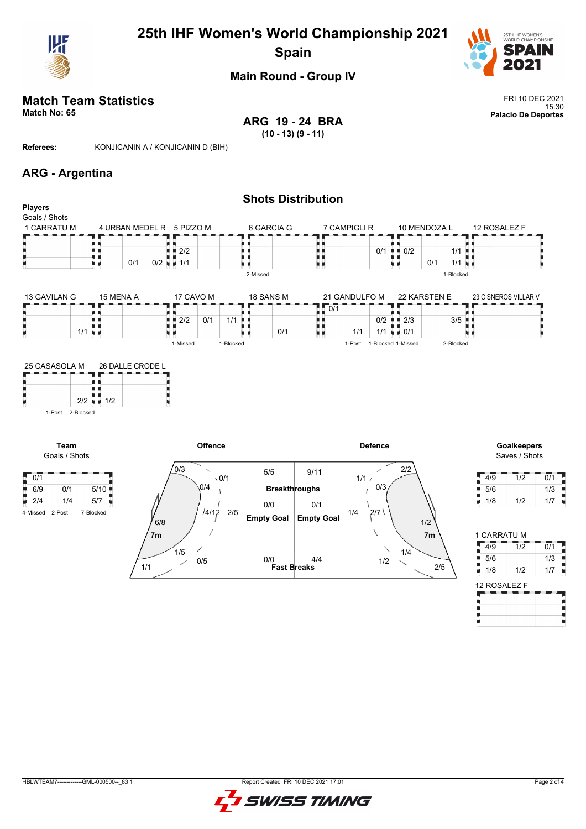

# **25th IHF Women's World Championship 2021 Spain**



### **Main Round - Group IV**

# **Match Team Statistics** FRI 10 DEC 2021

**ARG 19 - 24 BRA (10 - 13) (9 - 11)**

15:30 **Match No: 65 Palacio De Deportes**

**Referees:** KONJICANIN A / KONJICANIN D (BIH)

### **ARG - Argentina**

| <b>Players</b>               |                      |           |     |                |                                   |         |              |          |                      | <b>Shots Distribution</b> |               |                |                            |                |                      |              |                                     |                  |
|------------------------------|----------------------|-----------|-----|----------------|-----------------------------------|---------|--------------|----------|----------------------|---------------------------|---------------|----------------|----------------------------|----------------|----------------------|--------------|-------------------------------------|------------------|
| Goals / Shots<br>1 CARRATU M |                      |           |     |                | 4 URBAN MEDEL R 5 PIZZO M         |         |              |          | 6 GARCIA G           |                           | 7 CAMPIGLI R  |                |                            | 10 MENDOZA L   |                      | 12 ROSALEZ F |                                     |                  |
|                              |                      |           |     |                |                                   |         |              |          |                      |                           |               |                |                            |                |                      |              |                                     |                  |
|                              | n n                  |           |     |                | $\blacksquare$ $\blacksquare$ 2/2 |         |              | . .      |                      | . .                       |               |                | $0/1$ $\blacksquare$ $0/2$ |                | 1/1                  |              |                                     |                  |
|                              | W 16                 |           | 0/1 |                | $0/2$ $\blacksquare$ 1/1          |         |              |          |                      | υи                        |               |                | uи                         | 0/1            | $1/1$ $\blacksquare$ |              |                                     |                  |
|                              |                      |           |     |                |                                   |         |              | 2-Missed |                      |                           |               |                |                            |                | 1-Blocked            |              |                                     |                  |
| 13 GAVILAN G                 |                      | 15 MENA A |     |                | 17 CAVO M                         |         |              |          | 18 SANS M            |                           | 21 GANDULFO M |                |                            | 22 KARSTEN E   |                      |              | 23 CISNEROS VILLAR V                |                  |
|                              |                      |           |     |                |                                   |         |              |          |                      | 0/1                       |               |                |                            |                |                      |              |                                     |                  |
|                              | . .                  |           |     |                | $\blacksquare$ $\blacksquare$ 2/2 | 0/1     | $1/1$        |          |                      | . .                       |               |                | $0/2$ $\blacksquare$ 2/3   |                | $3/5$ $\blacksquare$ |              |                                     |                  |
|                              | $1/1$ $\blacksquare$ |           |     |                |                                   |         |              |          | 0/1                  | υи                        | 1/1           |                | $1/1$ $\blacksquare$ 0/1   |                |                      |              |                                     |                  |
|                              |                      |           |     |                | 1-Missed                          |         | 1-Blocked    |          |                      |                           |               |                | 1-Post 1-Blocked 1-Missed  |                | 2-Blocked            |              |                                     |                  |
| Team<br>Goals / Shots        | 1-Post 2-Blocked     |           |     |                |                                   | Offence |              |          |                      |                           |               | <b>Defence</b> |                            |                |                      |              | <b>Goalkeepers</b><br>Saves / Shots |                  |
|                              |                      |           |     |                |                                   |         |              |          |                      |                           |               |                |                            |                |                      |              |                                     |                  |
| $\sqrt{0/1}$                 |                      |           |     |                | 0/3                               |         | $\sqrt{0/1}$ |          | 5/5                  | 9/11                      | 1/1/          |                | 2/2                        |                |                      | $4\sqrt{9}$  | 1/2                                 | $\overline{0/1}$ |
| 6/9<br>0/1                   |                      | 5/10      |     |                |                                   | 0/4     |              |          | <b>Breakthroughs</b> |                           |               | 0/3            |                            |                |                      | 5/6          |                                     | 1/3              |
| $\blacksquare$ 2/4<br>1/4    |                      | 5/7       |     |                |                                   |         |              |          | 0/0                  | 0/1                       |               |                |                            |                |                      | 1/8          | 1/2                                 | 1/7              |
| 4-Missed<br>2-Post           | 7-Blocked            |           |     | 6/8            |                                   | 14/12   | 2/5          |          | <b>Empty Goal</b>    | <b>Empty Goal</b>         | 1/4           | 2/7            |                            | 1/2            |                      |              |                                     |                  |
|                              |                      |           |     | 7 <sub>m</sub> |                                   |         |              |          |                      |                           |               | N              |                            | 7 <sub>m</sub> |                      | 1 CARRATU M  |                                     |                  |
|                              |                      |           |     |                | 1/5                               |         |              |          |                      |                           |               |                | 1/4                        |                |                      | $4\sqrt{9}$  | $\overline{1/2}$                    | $\overline{0/1}$ |
|                              |                      |           |     |                |                                   | 0/5     |              |          | 0/0                  | 4/4                       |               | 1/2            |                            |                |                      | 5/6          |                                     | 1/3              |
|                              |                      |           | 1/1 |                |                                   |         |              |          | <b>Fast Breaks</b>   |                           |               |                |                            | 2/5            |                      | 1/8<br>٦     | 1/2                                 | 1/7              |

| 1 CARRATU M  |                  |                  |
|--------------|------------------|------------------|
| 4/9          | $\overline{1/2}$ | $\overline{0}/1$ |
| 5/6          |                  | 1/3              |
| Ţ<br>1/8     | 1/2              | 1/7              |
| 12 ROSALEZ F |                  |                  |
|              |                  |                  |
|              |                  |                  |
|              |                  |                  |

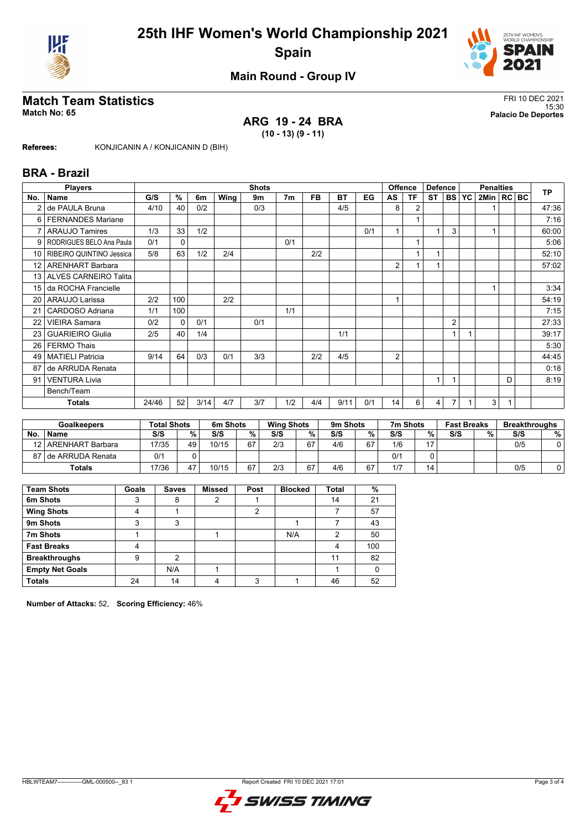



### **Main Round - Group IV**

# **Match Team Statistics** FRI 10 DEC 2021

#### 15:30 **Match No: 65 Palacio De Deportes ARG 19 - 24 BRA**

**(10 - 13) (9 - 11)**

**Referees:** KONJICANIN A / KONJICANIN D (BIH)

#### **BRA - Brazil**

|                 | <b>Players</b>           | <b>Shots</b> |              |      |      |     |                |           | <b>Offence</b><br><b>Defence</b> |     |                | <b>Penalties</b> |                |                |  | <b>TP</b>      |   |  |       |
|-----------------|--------------------------|--------------|--------------|------|------|-----|----------------|-----------|----------------------------------|-----|----------------|------------------|----------------|----------------|--|----------------|---|--|-------|
| No.             | Name                     | G/S          | %            | 6m   | Wing | 9m  | 7 <sub>m</sub> | <b>FB</b> | <b>BT</b>                        | EG  | AS             | <b>TF</b>        | <b>ST</b>      | BS   YC        |  | 2Min   RC   BC |   |  |       |
| 2               | de PAULA Bruna           | 4/10         | 40           | 0/2  |      | 0/3 |                |           | 4/5                              |     | 8              | 2                |                |                |  |                |   |  | 47:36 |
| 6               | <b>FERNANDES Mariane</b> |              |              |      |      |     |                |           |                                  |     |                |                  |                |                |  |                |   |  | 7:16  |
| $\overline{7}$  | <b>ARAUJO Tamires</b>    | 1/3          | 33           | 1/2  |      |     |                |           |                                  | 0/1 |                |                  | $\overline{1}$ | 3              |  |                |   |  | 60:00 |
| 9               | RODRIGUES BELO Ana Paula | 0/1          | $\mathbf{0}$ |      |      |     | 0/1            |           |                                  |     |                |                  |                |                |  |                |   |  | 5:06  |
| 10 <sup>1</sup> | RIBEIRO QUINTINO Jessica | 5/8          | 63           | 1/2  | 2/4  |     |                | 2/2       |                                  |     |                | 1                |                |                |  |                |   |  | 52:10 |
| 12 <sup>°</sup> | <b>ARENHART Barbara</b>  |              |              |      |      |     |                |           |                                  |     | 2              |                  |                |                |  |                |   |  | 57:02 |
| 13 <sup>1</sup> | ALVES CARNEIRO Talita    |              |              |      |      |     |                |           |                                  |     |                |                  |                |                |  |                |   |  |       |
| 15              | da ROCHA Francielle      |              |              |      |      |     |                |           |                                  |     |                |                  |                |                |  |                |   |  | 3:34  |
| 20              | ARAUJO Larissa           | 2/2          | 100          |      | 2/2  |     |                |           |                                  |     |                |                  |                |                |  |                |   |  | 54:19 |
| 21              | CARDOSO Adriana          | 1/1          | 100          |      |      |     | 1/1            |           |                                  |     |                |                  |                |                |  |                |   |  | 7:15  |
| 22              | <b>VIEIRA Samara</b>     | 0/2          | 0            | 0/1  |      | 0/1 |                |           |                                  |     |                |                  |                | $\overline{2}$ |  |                |   |  | 27:33 |
| 23              | <b>GUARIEIRO Giulia</b>  | 2/5          | 40           | 1/4  |      |     |                |           | 1/1                              |     |                |                  |                |                |  |                |   |  | 39:17 |
| 26              | <b>FERMO Thais</b>       |              |              |      |      |     |                |           |                                  |     |                |                  |                |                |  |                |   |  | 5:30  |
| 49              | <b>MATIELI Patricia</b>  | 9/14         | 64           | 0/3  | 0/1  | 3/3 |                | 2/2       | 4/5                              |     | $\overline{2}$ |                  |                |                |  |                |   |  | 44:45 |
| 87              | de ARRUDA Renata         |              |              |      |      |     |                |           |                                  |     |                |                  |                |                |  |                |   |  | 0:18  |
| 91              | <b>VENTURA Livia</b>     |              |              |      |      |     |                |           |                                  |     |                |                  | $\overline{1}$ |                |  |                | D |  | 8:19  |
|                 | Bench/Team               |              |              |      |      |     |                |           |                                  |     |                |                  |                |                |  |                |   |  |       |
|                 | Totals                   | 24/46        | 52           | 3/14 | 4/7  | 3/7 | 1/2            | 4/4       | 9/11                             | 0/1 | 14             | 6                | 4              |                |  | 3              | 1 |  |       |

|    | <b>Goalkeepers</b>  | <b>Total Shots</b> |    | 6m Shots |    | <b>Wing Shots</b> |    | 9m Shots |    | 7m Shots |    | <b>Fast Breaks</b> |     | <b>Breakthroughs</b> |   |
|----|---------------------|--------------------|----|----------|----|-------------------|----|----------|----|----------|----|--------------------|-----|----------------------|---|
| No | <b>Name</b>         | S/S                | %  | S/S      | %  | S/S               | %. | S/S      | %  | S/S      | %  | S/S                | 0/2 | S/S                  | % |
| 12 | ARENHART Barbara    | 17/35              | 49 | 10/15    | 67 | 2/3               | 67 | 4/6      | 67 | 1/6      | 17 |                    |     | 0/5                  | 0 |
|    | 87 de ARRUDA Renata | 0/1                |    |          |    |                   |    |          |    | 0/1      |    |                    |     |                      |   |
|    | <b>Totals</b>       | 17/36              | 47 | 10/15    | 67 | 2/3               | 67 | 4/6      | 67 | 1/7      | 14 |                    |     | 0/5                  |   |

| <b>Team Shots</b>      | Goals | <b>Saves</b> | <b>Missed</b> | Post | <b>Blocked</b> | Total | %   |
|------------------------|-------|--------------|---------------|------|----------------|-------|-----|
| 6m Shots               | 3     | 8            | 2             |      |                | 14    | 21  |
| <b>Wing Shots</b>      |       |              |               | າ    |                |       | 57  |
| 9m Shots               | 3     | 3            |               |      |                |       | 43  |
| 7m Shots               |       |              |               |      | N/A            | 2     | 50  |
| <b>Fast Breaks</b>     |       |              |               |      |                |       | 100 |
| <b>Breakthroughs</b>   | 9     | っ            |               |      |                | 11    | 82  |
| <b>Empty Net Goals</b> |       | N/A          |               |      |                |       |     |
| <b>Totals</b>          | 24    | 14           |               | ົ    |                | 46    | 52  |

**Number of Attacks:** 52, **Scoring Efficiency:** 46%